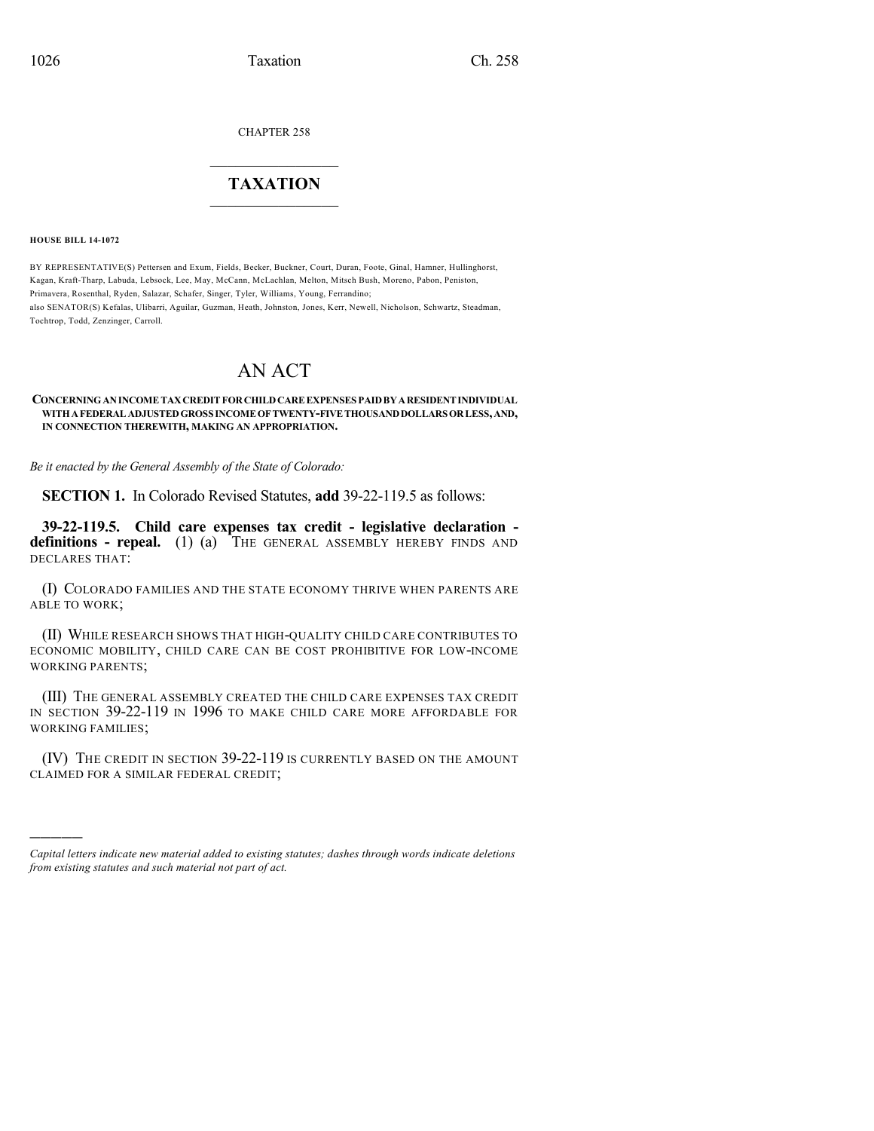CHAPTER 258

## $\mathcal{L}_\text{max}$  . The set of the set of the set of the set of the set of the set of the set of the set of the set of the set of the set of the set of the set of the set of the set of the set of the set of the set of the set **TAXATION**  $\_$

**HOUSE BILL 14-1072**

)))))

BY REPRESENTATIVE(S) Pettersen and Exum, Fields, Becker, Buckner, Court, Duran, Foote, Ginal, Hamner, Hullinghorst, Kagan, Kraft-Tharp, Labuda, Lebsock, Lee, May, McCann, McLachlan, Melton, Mitsch Bush, Moreno, Pabon, Peniston, Primavera, Rosenthal, Ryden, Salazar, Schafer, Singer, Tyler, Williams, Young, Ferrandino; also SENATOR(S) Kefalas, Ulibarri, Aguilar, Guzman, Heath, Johnston, Jones, Kerr, Newell, Nicholson, Schwartz, Steadman, Tochtrop, Todd, Zenzinger, Carroll.

## AN ACT

**CONCERNINGANINCOMETAXCREDITFORCHILDCAREEXPENSES PAIDBYARESIDENTINDIVIDUAL WITHAFEDERALADJUSTEDGROSS INCOMEOFTWENTY-FIVETHOUSANDDOLLARS ORLESS,AND, IN CONNECTION THEREWITH, MAKING AN APPROPRIATION.**

*Be it enacted by the General Assembly of the State of Colorado:*

**SECTION 1.** In Colorado Revised Statutes, **add** 39-22-119.5 as follows:

**39-22-119.5. Child care expenses tax credit - legislative declaration definitions - repeal.** (1) (a) THE GENERAL ASSEMBLY HEREBY FINDS AND DECLARES THAT:

(I) COLORADO FAMILIES AND THE STATE ECONOMY THRIVE WHEN PARENTS ARE ABLE TO WORK;

(II) WHILE RESEARCH SHOWS THAT HIGH-QUALITY CHILD CARE CONTRIBUTES TO ECONOMIC MOBILITY, CHILD CARE CAN BE COST PROHIBITIVE FOR LOW-INCOME WORKING PARENTS;

(III) THE GENERAL ASSEMBLY CREATED THE CHILD CARE EXPENSES TAX CREDIT IN SECTION 39-22-119 IN 1996 TO MAKE CHILD CARE MORE AFFORDABLE FOR WORKING FAMILIES;

(IV) THE CREDIT IN SECTION 39-22-119 IS CURRENTLY BASED ON THE AMOUNT CLAIMED FOR A SIMILAR FEDERAL CREDIT;

*Capital letters indicate new material added to existing statutes; dashes through words indicate deletions from existing statutes and such material not part of act.*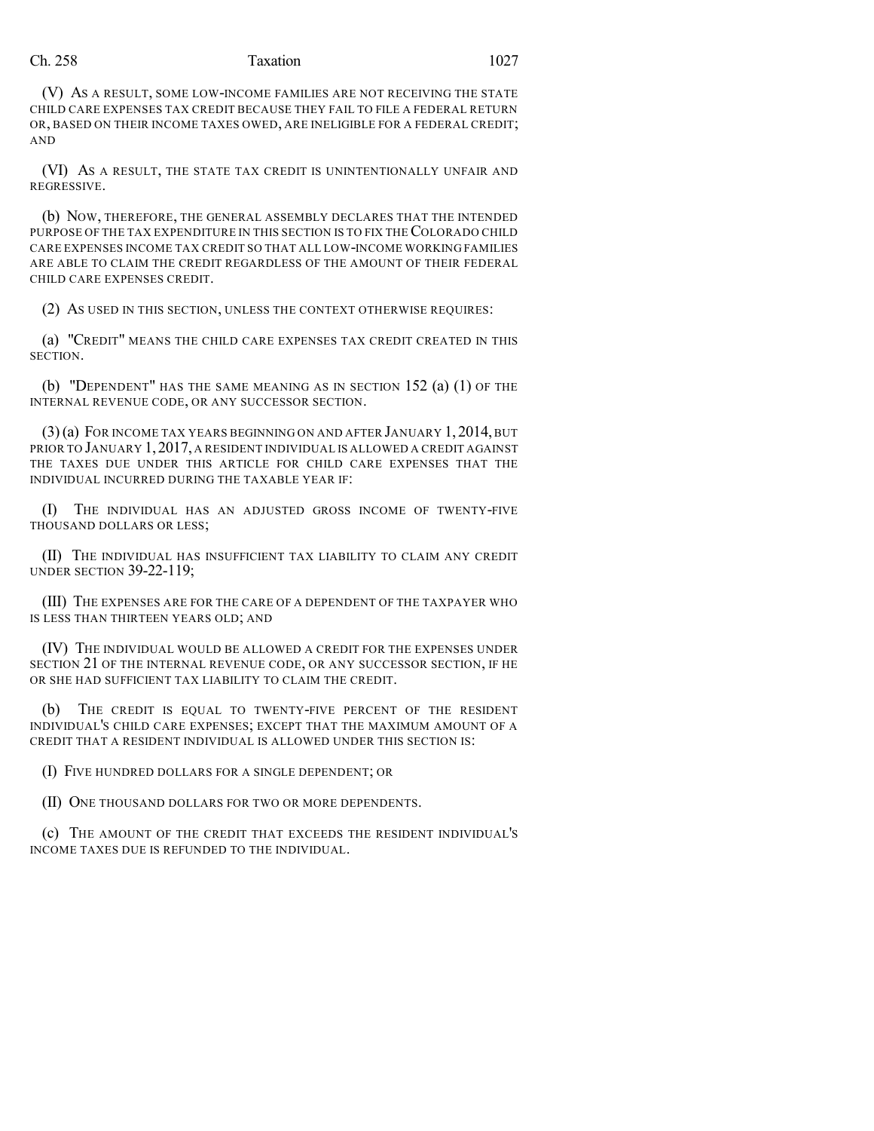## Ch. 258 Taxation 1027

(V) AS A RESULT, SOME LOW-INCOME FAMILIES ARE NOT RECEIVING THE STATE CHILD CARE EXPENSES TAX CREDIT BECAUSE THEY FAIL TO FILE A FEDERAL RETURN OR, BASED ON THEIR INCOME TAXES OWED, ARE INELIGIBLE FOR A FEDERAL CREDIT; AND

(VI) AS A RESULT, THE STATE TAX CREDIT IS UNINTENTIONALLY UNFAIR AND REGRESSIVE.

(b) NOW, THEREFORE, THE GENERAL ASSEMBLY DECLARES THAT THE INTENDED PURPOSE OF THE TAX EXPENDITURE IN THIS SECTION IS TO FIX THE COLORADO CHILD CARE EXPENSES INCOME TAX CREDIT SO THAT ALL LOW-INCOME WORKING FAMILIES ARE ABLE TO CLAIM THE CREDIT REGARDLESS OF THE AMOUNT OF THEIR FEDERAL CHILD CARE EXPENSES CREDIT.

(2) AS USED IN THIS SECTION, UNLESS THE CONTEXT OTHERWISE REQUIRES:

(a) "CREDIT" MEANS THE CHILD CARE EXPENSES TAX CREDIT CREATED IN THIS SECTION.

(b) "DEPENDENT" HAS THE SAME MEANING AS IN SECTION 152 (a) (1) OF THE INTERNAL REVENUE CODE, OR ANY SUCCESSOR SECTION.

(3)(a) FOR INCOME TAX YEARS BEGINNING ON AND AFTER JANUARY 1, 2014, BUT PRIOR TO JANUARY 1,2017, A RESIDENT INDIVIDUAL IS ALLOWED A CREDIT AGAINST THE TAXES DUE UNDER THIS ARTICLE FOR CHILD CARE EXPENSES THAT THE INDIVIDUAL INCURRED DURING THE TAXABLE YEAR IF:

(I) THE INDIVIDUAL HAS AN ADJUSTED GROSS INCOME OF TWENTY-FIVE THOUSAND DOLLARS OR LESS;

(II) THE INDIVIDUAL HAS INSUFFICIENT TAX LIABILITY TO CLAIM ANY CREDIT UNDER SECTION 39-22-119;

(III) THE EXPENSES ARE FOR THE CARE OF A DEPENDENT OF THE TAXPAYER WHO IS LESS THAN THIRTEEN YEARS OLD; AND

(IV) THE INDIVIDUAL WOULD BE ALLOWED A CREDIT FOR THE EXPENSES UNDER SECTION 21 OF THE INTERNAL REVENUE CODE, OR ANY SUCCESSOR SECTION, IF HE OR SHE HAD SUFFICIENT TAX LIABILITY TO CLAIM THE CREDIT.

(b) THE CREDIT IS EQUAL TO TWENTY-FIVE PERCENT OF THE RESIDENT INDIVIDUAL'S CHILD CARE EXPENSES; EXCEPT THAT THE MAXIMUM AMOUNT OF A CREDIT THAT A RESIDENT INDIVIDUAL IS ALLOWED UNDER THIS SECTION IS:

(I) FIVE HUNDRED DOLLARS FOR A SINGLE DEPENDENT; OR

(II) ONE THOUSAND DOLLARS FOR TWO OR MORE DEPENDENTS.

(c) THE AMOUNT OF THE CREDIT THAT EXCEEDS THE RESIDENT INDIVIDUAL'S INCOME TAXES DUE IS REFUNDED TO THE INDIVIDUAL.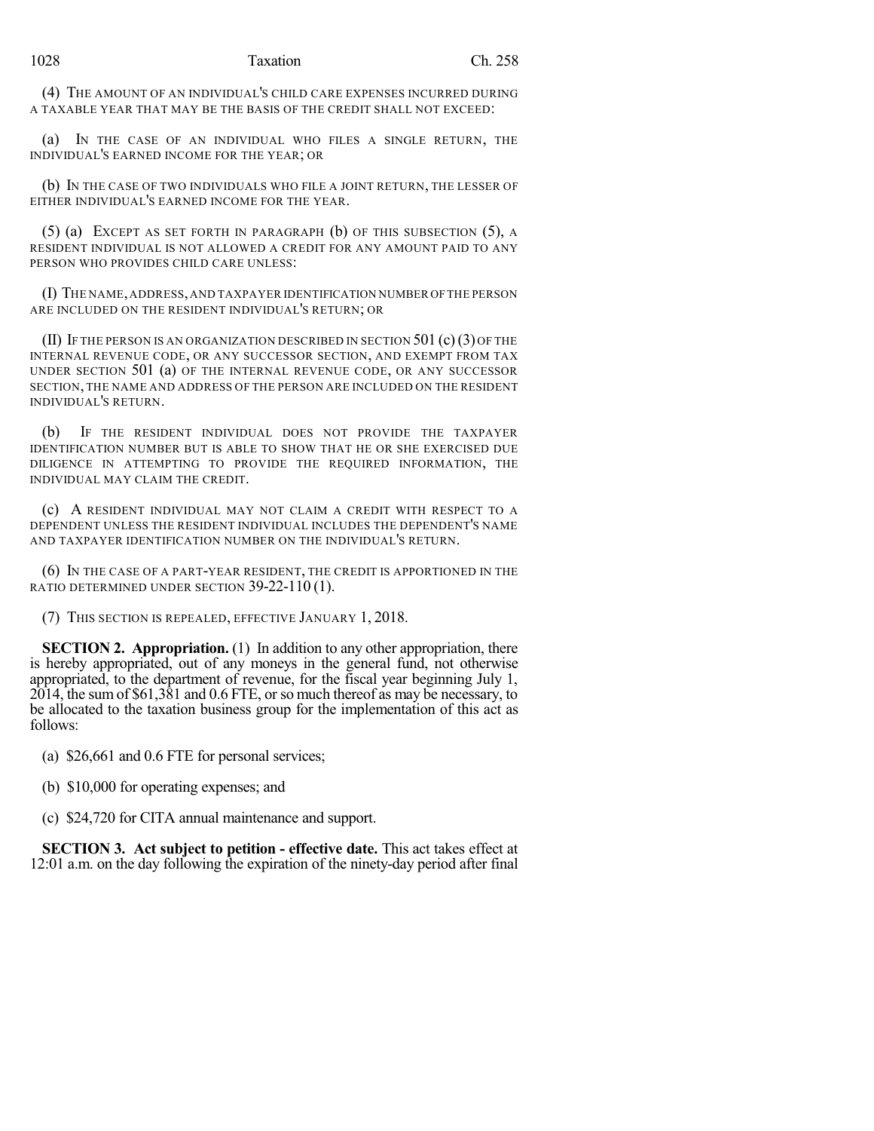(4) THE AMOUNT OF AN INDIVIDUAL'S CHILD CARE EXPENSES INCURRED DURING A TAXABLE YEAR THAT MAY BE THE BASIS OF THE CREDIT SHALL NOT EXCEED:

(a) IN THE CASE OF AN INDIVIDUAL WHO FILES A SINGLE RETURN, THE INDIVIDUAL'S EARNED INCOME FOR THE YEAR; OR

(b) IN THE CASE OF TWO INDIVIDUALS WHO FILE A JOINT RETURN, THE LESSER OF EITHER INDIVIDUAL'S EARNED INCOME FOR THE YEAR.

(5) (a) EXCEPT AS SET FORTH IN PARAGRAPH (b) OF THIS SUBSECTION (5), A RESIDENT INDIVIDUAL IS NOT ALLOWED A CREDIT FOR ANY AMOUNT PAID TO ANY PERSON WHO PROVIDES CHILD CARE UNLESS:

(I) THE NAME,ADDRESS,AND TAXPAYER IDENTIFICATION NUMBER OFTHE PERSON ARE INCLUDED ON THE RESIDENT INDIVIDUAL'S RETURN; OR

(II) IF THE PERSON IS AN ORGANIZATION DESCRIBED IN SECTION  $501$  (c)(3) OF THE INTERNAL REVENUE CODE, OR ANY SUCCESSOR SECTION, AND EXEMPT FROM TAX UNDER SECTION 501 (a) OF THE INTERNAL REVENUE CODE, OR ANY SUCCESSOR SECTION, THE NAME AND ADDRESS OF THE PERSON ARE INCLUDED ON THE RESIDENT INDIVIDUAL'S RETURN.

(b) IF THE RESIDENT INDIVIDUAL DOES NOT PROVIDE THE TAXPAYER IDENTIFICATION NUMBER BUT IS ABLE TO SHOW THAT HE OR SHE EXERCISED DUE DILIGENCE IN ATTEMPTING TO PROVIDE THE REQUIRED INFORMATION, THE INDIVIDUAL MAY CLAIM THE CREDIT.

(c) A RESIDENT INDIVIDUAL MAY NOT CLAIM A CREDIT WITH RESPECT TO A DEPENDENT UNLESS THE RESIDENT INDIVIDUAL INCLUDES THE DEPENDENT'S NAME AND TAXPAYER IDENTIFICATION NUMBER ON THE INDIVIDUAL'S RETURN.

(6) IN THE CASE OF A PART-YEAR RESIDENT, THE CREDIT IS APPORTIONED IN THE RATIO DETERMINED UNDER SECTION 39-22-110 (1).

(7) THIS SECTION IS REPEALED, EFFECTIVE JANUARY 1, 2018.

**SECTION 2. Appropriation.** (1) In addition to any other appropriation, there is hereby appropriated, out of any moneys in the general fund, not otherwise appropriated, to the department of revenue, for the fiscal year beginning July 1,  $2014$ , the sum of \$61,381 and 0.6 FTE, or so much thereof as may be necessary, to be allocated to the taxation business group for the implementation of this act as follows:

(a) \$26,661 and 0.6 FTE for personal services;

(b) \$10,000 for operating expenses; and

(c) \$24,720 for CITA annual maintenance and support.

**SECTION 3. Act subject to petition - effective date.** This act takes effect at 12:01 a.m. on the day following the expiration of the ninety-day period after final